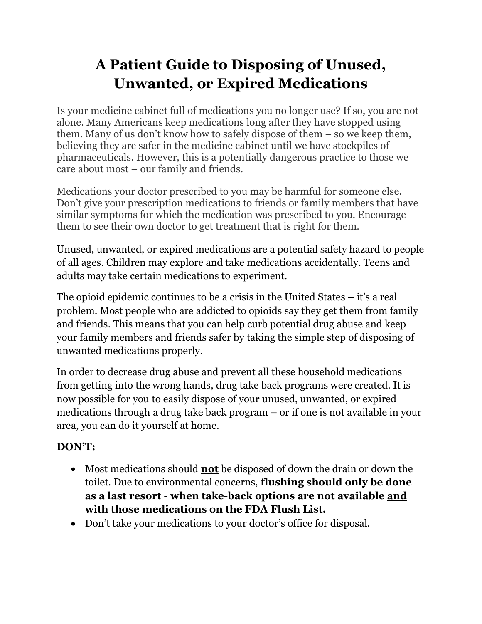## A Patient Guide to Disposing of Unused, Unwanted, or Expired Medications

Is your medicine cabinet full of medications you no longer use? If so, you are not alone. Many Americans keep medications long after they have stopped using them. Many of us don't know how to safely dispose of them – so we keep them, believing they are safer in the medicine cabinet until we have stockpiles of pharmaceuticals. However, this is a potentially dangerous practice to those we care about most – our family and friends.

Medications your doctor prescribed to you may be harmful for someone else. Don't give your prescription medications to friends or family members that have similar symptoms for which the medication was prescribed to you. Encourage them to see their own doctor to get treatment that is right for them.

Unused, unwanted, or expired medications are a potential safety hazard to people of all ages. Children may explore and take medications accidentally. Teens and adults may take certain medications to experiment.

The opioid epidemic continues to be a crisis in the United States – it's a real problem. Most people who are addicted to opioids say they get them from family and friends. This means that you can help curb potential drug abuse and keep your family members and friends safer by taking the simple step of disposing of unwanted medications properly.

In order to decrease drug abuse and prevent all these household medications from getting into the wrong hands, drug take back programs were created. It is now possible for you to easily dispose of your unused, unwanted, or expired medications through a drug take back program – or if one is not available in your area, you can do it yourself at home.

## DON'T:

- Most medications should **not** be disposed of down the drain or down the toilet. Due to environmental concerns, flushing should only be done as a last resort - when take-back options are not available and with those medications on the FDA Flush List.
- Don't take your medications to your doctor's office for disposal.